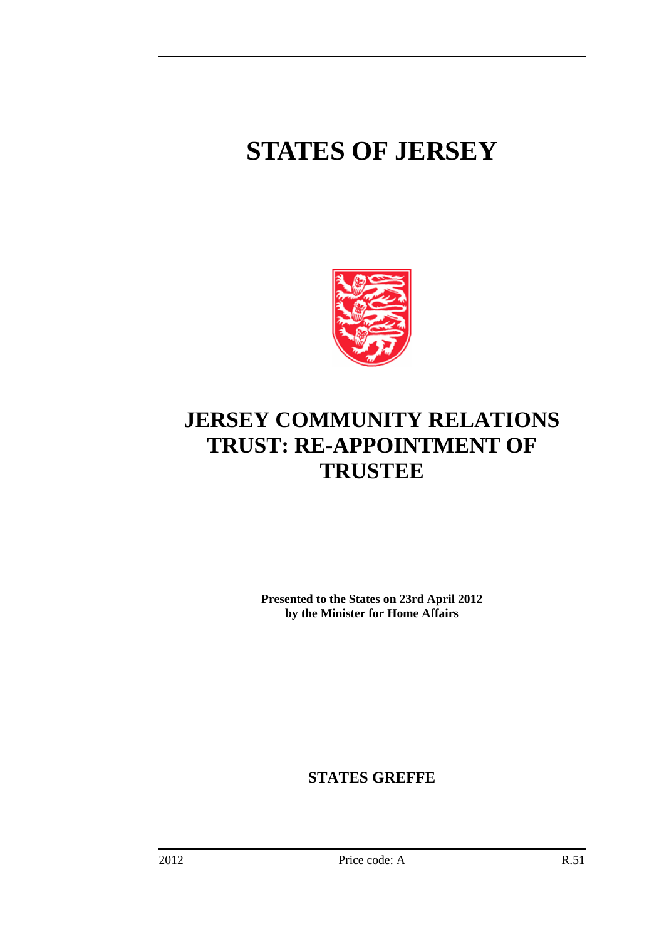## **STATES OF JERSEY**



## **JERSEY COMMUNITY RELATIONS TRUST: RE-APPOINTMENT OF TRUSTEE**

**Presented to the States on 23rd April 2012 by the Minister for Home Affairs** 

**STATES GREFFE**